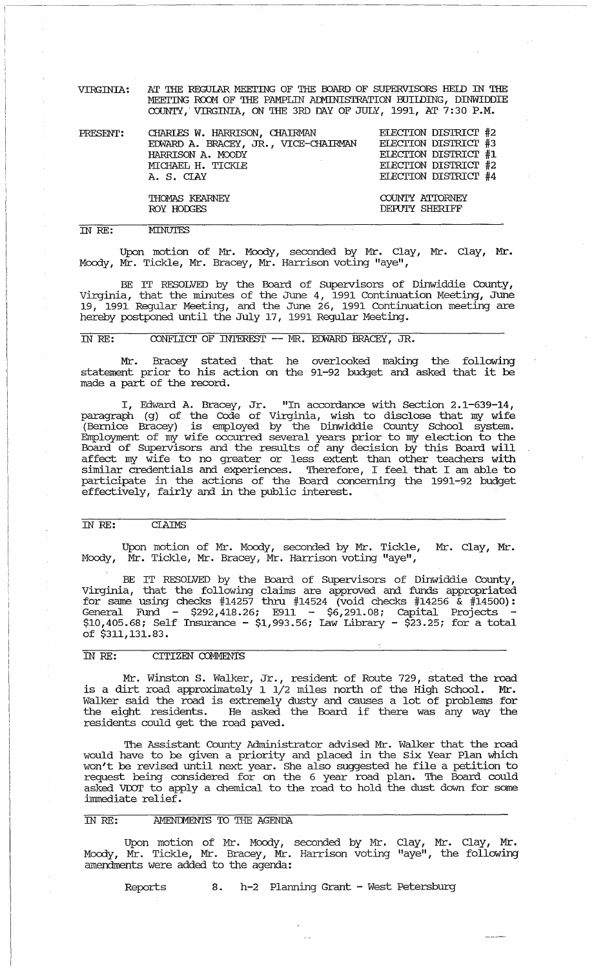VIRGINIA: AT THE REGULAR MEEI'ING OF THE OOARD OF SUPERVISORS HElD IN THE MEETING ROOM OF THE PAMPLIN ADMINISTRATION BUIIDING, DINWIDDIE COUNTY,' VIRGINIA, ON THE 3RD DAY OF JULY, 1991, AT 7:30 P.M.

| PRESENT: | CHARLES W. HARRISON, CHAIRMAN<br>EDWARD A. BRACEY, JR., VICE-CHAIRMAN<br>HARRISON A. MOODY<br>MICHAEL H. TICKLE<br>A. S. CIAY | ELECTION DISTRICT #2<br>ELECTION DISTRICT #3<br>ELECTION DISTRICT #1<br>ELECTION DISTRICT #2<br>ELECTION DISTRICT #4 |
|----------|-------------------------------------------------------------------------------------------------------------------------------|----------------------------------------------------------------------------------------------------------------------|
|          | THOMAS KEARNEY<br>ROY HODGES                                                                                                  | COUNTY ATTORNEY<br><b>DEPUTY SHERIFF</b>                                                                             |

#### IN RE: **MINUTES**

Upon motion of Mr. Moody, seconded by Mr. Clay, Mr. clay, Mr. Moody, Mr. Tickle, Mr. Bracey, Mr. Harrison voting "aye",

BE IT RESOLVED by the Board of supervisors of Dinwiddie County, Virginia, that the minutes of the June 4, 1991 continuation Meeting, June 19, 1991 Regular Meeting, and the June 26, 1991 Continuation meeting are hereby postponed until the July 17, 1991 Regular Meeting.

# IN RE: CONFLICT OF INTEREST -- MR. EDWARD BRACEY, JR.

Mr. Bracey stated that he overlooked making the following statement prior to his action on the 91-92 budget and asked that it be made a part of the record.

I, Edward A. Bracey, Jr. "In accordance with Section 2.1-639-14, paragraph (g) of the Code of Virginia, wish to disclose that my wife (Bernice Bracey) is employed by the Dinwiddie County School system. Employment of my wife occurred several years prior to my election to the Board of supervisors and the results of any decision by this Board will affect my wife to no greater or less extent than other teachers with similar credentials and experiences. Therefore, I feel that I am able to participate in the actions of the Board concerning the 1991-92 budget effectively, fairly and in the public interest.

## IN RE: CIAIMS

Upon motion of Mr. Moody, seconded by Mr. Tickle, Mr. Clay, Mr • Moody, Mr. Tickle, Mr. Bracey, Mr. Harrison voting "aye",

BE IT RESOLVED by the Board of Supervisors of Dinwiddie County, Virginia, that the following claims are approved and funds appropriated for same using checks #14257 thru #14524 (void checks #14256  $\frac{1}{6}$  #14500): General Fund - \$292,418.26; E911 - \$6,291.08; Capital Projects \$10,405.68; Self Insurance - \$1,993.56; Law Library - \$23.25; for a total of \$311,131. 83.

#### IN RE: CITIZEN CDMMENTS

Mr. Winston S. Walker, Jr., resident of Route 729, stated the road is a dirt road approximately 1 1/2 miles north of the High School. Mr • Walker said the road is extremely dusty and causes a lot of problems for warker said the road is excremely dusty and causes a for of problems for<br>the eight residents. He asked the Board if there was any way the residents could get the road paved.

The Assistant County Administrator advised Mr. Walker that the road would have to be given a priority and placed in the six Year Plan which won't be revised until next year. She also suggested he file a petition to request being considered for on the 6 year road plan. The Board could asked VDOT to apply a chemical to the road to hold the dust down for some immediate relief .

#### IN RE: . . AMENDMENTS TO THE AGENDA

Upon motion of Mr. Moody, seconded by Mr. Clay, Mr. Clay, Mr. Moody, Mr. Tickle, Mr. Bracey, Mr. Harrison voting "aye", the following amendments were added to the agenda:

Reports 8. h-2 Planning Grant - West Petersburg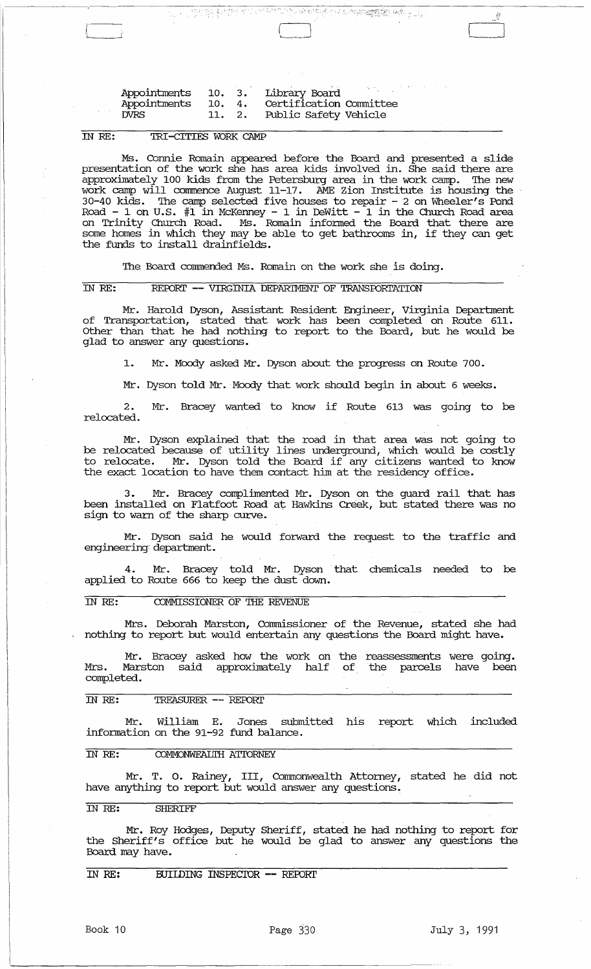| Appointments |        |    | 10. 3. Library Board    |
|--------------|--------|----|-------------------------|
| Appointments | 10.    | 4. | Certification Committee |
| DVRS         | 11. 2. |    | Public Safety Vehicle   |

#### IN RE: TRI-CITIES WORK CAMP

(

Ms. Connie Romain appeared before the Board and presented a slide presentation of the work she has area kids involved in. She said there are approximately 100 kids from the Petersburg area in the work camp. The new work camp will commence August 11-17. AME Zion Institute is housing the 30-40 kids. '!he camp selected five houses to repair - 2 on 'Wheeler's Pond Road - 1 on U.S.  $\#1$  in McKenney - 1 in DeWitt - 1 in the Church Road area on Trinity Church Road. Ms. Romain infonned the Board that there are some homes in which they may be able to get bathrooms in, if they can get the funds to install drainfields.

 $\frac{1}{\sqrt{2}}\sum_{i=1}^n\sum_{j=1}^n\sum_{j=1}^n\sum_{j=1}^n\sum_{j=1}^n\sum_{j=1}^n\sum_{j=1}^n\sum_{j=1}^n\sum_{j=1}^n\sum_{j=1}^n\sum_{j=1}^n\sum_{j=1}^n\sum_{j=1}^n\sum_{j=1}^n\sum_{j=1}^n\sum_{j=1}^n\sum_{j=1}^n\sum_{j=1}^n\sum_{j=1}^n\sum_{j=1}^n\sum_{j=1}^n\sum_{j=1}^n\sum_{j=1}^n\sum_{$ 

 $\begin{bmatrix} 1 & 1 \\ 1 & 1 \end{bmatrix}$ 

The Board commended Ms. Romain on the work she is doing.

#### IN RE: REPORT -- VIRGINIA DEPARIMENT OF TRANSPORTATION

Mr. Harold Dyson, Assistant Resident Engineer, Virginia Department of Transportation, stated that work has been completed on Route 611. Other than that he had nothing to report to the Board, but he would be glad to answer any questions.

1. Mr. Moody asked Mr. Dyson about the progress on Route 700.

Mr. Dyson told Mr. Moody that work should begin in about 6 weeks.

2. Mr. Bracey wanted to know if Route 613 was going to be relocated.

Mr. Dyson explained that the road in that area was not going to be relocated because of utility lines underground, which would be costly to relocate. Mr. Dyson told the Board if any citizens wanted to know the exact location to have them contact him at the residency office.

3. Mr. Bracey complimented Mr. Dyson on the guard rail that has been installed on Flatfoot Road at Hawkins Creek, but stated there was no sign to warn of the sharp curve.

Mr. Dyson said he would forward the request to the traffic and engineering: department.

4. Mr. Bracey told Mr. Dyson that chemicals needed to be applied to Route 666 to keep the dust down.

IN RE: COMMISSIONER OF THE REVENUE

Mrs. Deborah Marston, Commissioner of the Revenue, stated she had nothing to report but would entertain any questions the Board might have.

Mr. Bracey asked how the work on the reassessments were going. Mrs. Marston said approximately half of the parcels have been completed.

#### IN RE: TREASURER -- REroRI'

Mr. William E. Jones submitted his report which included infonnation on the 91-92 fund balance.

### IN RE: COMMONWEALTH ATTORNEY

Mr. T. o. Rainey, III, Commonwealth Attorney, stated he did not have anything to report but would answer any questions.

#### IN RE: SHERIFF

Mr. Roy Hodges, Deputy Sheriff, stated he had nothing to report for the Sheriff's office but he would be glad to answer any questions the Board may have.

IN RE: BUIIDING INSPECIOR **--** REfDRr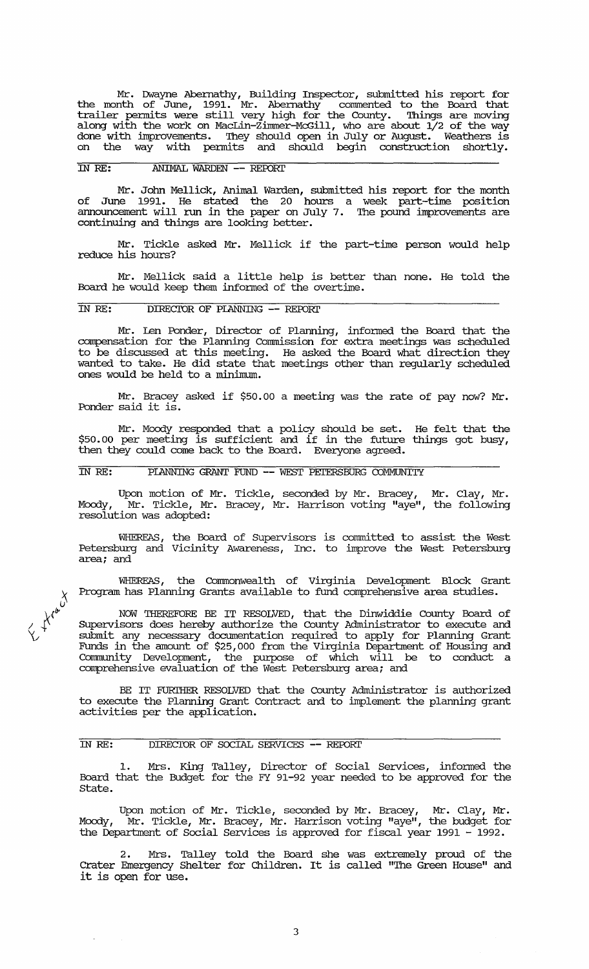Mr. Dwayne Abernathy, Building Inspector, submitted his report for the month of June, 1991. Mr. Abernathy commented to the Board that trailer permits were still very high for the County. Things are moving along with the work on MacLin-Zimmer-McGill, who are about  $1/2$  of the way done with improvements. 'Ihey should open in July or August. Weathers is on the way with permits and should begin construction shortly.

## IN RE: ANIMAL WARDEN -- REroRl'

Mr. John Mellick, Animal Warden, submitted his report for the month of June 1991. He stated the 20 hours a week part-time position announcement will run in the paper on July 7. 'Ihe pound improvements are continuing and things are looking better.

Mr. Tickle asked Mr. Mellick if the part-time person would help reduce his hours?

Mr. Mellick said a little help is better than none. He told the Board he would keep them informed of the overtime.

## IN RE: DIRECTOR OF PLANNING -- REPORT

Mr. Len Ponder, Director of Planning, infonned the Board that the compensation for the Planning commission for extra meetings was scheduled to be discussed at this meeting. He asked the Board what direction they wanted to take. He did state that meetings other than regularly scheduled ones would be held to a minimum.

Mr. Bracey asked if \$50.00 a meeting was the rate of pay now? Mr. Ponder said it is.

Mr. Moody responded that a policy should be set. He felt that the \$50.00 per meeting is sufficient and if in the future things got busy, then they could come back to the Board. Everyone agreed.

## IN RE: PIANNING GRANT FUND -- WEST PETERSBURG COMMUNITY

Upon motion of Mr. Tickle, seconded by Mr. Bracey, Mr. Clay, Mr. Moody, Mr. Tickle, Mr. Bracey, Mr. Harrison voting "aye", the following Moody, Mr. Tickle, Mr<br>resolution was adopted:

WHEREAS, the Board of Supervisors is committed to assist the West Petersburg and Vicinity Awareness, Inc. to improve the West Petersburg area; and

WHEREAS, the Commonwealth of Virginia Development Block Grant Program has Planning Grants available to fund comprehensive area studies.

NOW THEREFORE BE IT RESOLVED, that the Dinwiddie County Board of SUpervisors does hereby authorize the county Administrator to execute and submit any necessary documentation required to apply for Planning Grant Funds in the amount of \$25,000 from the Virginia Department of Housing and Community Development, the purpose of which will be to conduct .a comprehensive eValuation of the West Petersburg area; and

BE IT FURIHER RESOLVED that the County Administrator is authorized to execute the Planning Grant Contract and to implement the planning grant activities per the application.

#### IN RE: DIRECTOR OF SOCIAL SERVICES -- REPORT

1. Mrs. King Talley, Director of Social Services, infonned the Board that the Budget for the FY 91-92 year needed to be approved for the State.

Upon motion of Mr. Tickle, seconded by Mr. Bracey, Mr. Clay, Mr. Moody, Mr. Tickle, Mr. Bracey, Mr. Harrison voting "aye", the budget for the Department of Social Services is approved for fiscal year 1991 - 1992.

2. Mrs. Talley told the Board she was extremely proud of the Crater Emergency Shelter for Children. It is called "'Ihe Green House" and it is open for use.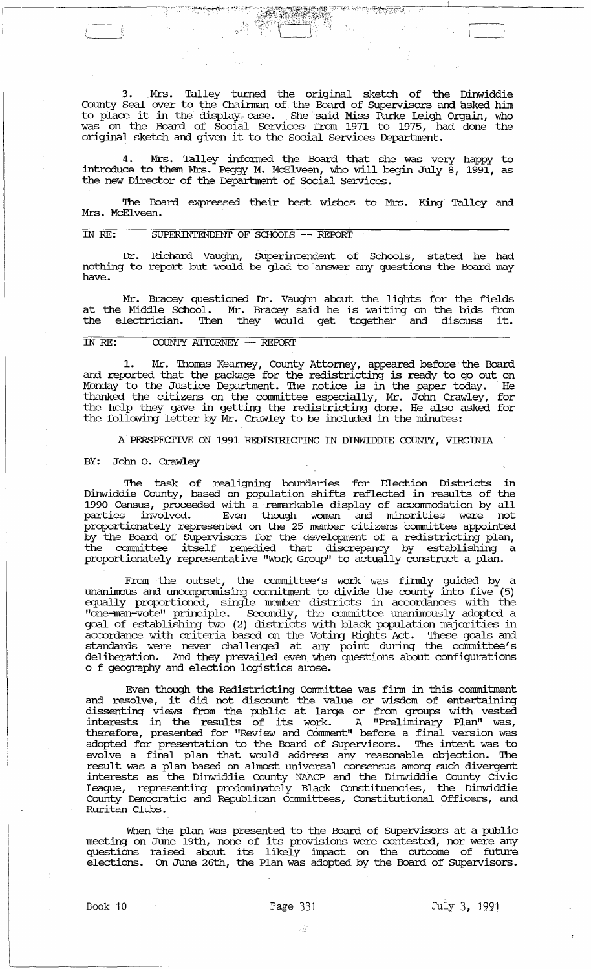3. Mrs. Talley tmned the original sketch of the Dinwiddie County Seal over to the Chairman of the Board of Supervisors and asked him county sear over to the diarmin of the board of supervisors and asked film was on the Board of Social Services from 1971 to 1975, had done the original sketch and given it to the Social Services Department.'

4. Mrs. Talley infonned the Board that she was very happy to introduce to them Mrs. Peggy M. McElveen, who will begin July 8, 1991, as the new Director of the Department of Social services.

The Board expressed their best wishes to Mrs. King Talley and Mrs. McElveen.

## IN RE: SUPERINTENDENT OF SCHOOLS -- REPORT

Dr. Richard Vaughn, Superintendent of Schools, stated he had nothing to report but would be glad to 'answer any questions the Board may have.

Mr. Bracey questioned Dr. Vaughn about the lights for the fields at the Middle School. Mr. Bracey said he is waiting on the bids from the electrician. Then they would get together and discuss it.

## IN RE: COUNTY ATTORNEY -- REPORT

1. Mr. Thomas Kearney, County Attorney, appeared before the Board and reported that the package for the redistricting is ready to go out on Monday to the Justice Deparbnent. '!he notice is in the paper today. He thanked the citizens on the committee especially, Mr. John Crawley, for the help they gave in getting the redistricting done. He also asked for the following letter by Mr. Crawley to be included in the minutes:

A PERSPECTIVE ON 1991 REDISTRICTING IN DINWIDDIE COUNTY, VIRGINIA

#### BY: John o. Crawley

The task of realigning boundaries for Election Districts in Dinwiddie County, based on population shifts reflected in results of the 1990 Census, proceeded with a remarkable display of accommodation by all parties involved. Even though women and minorities were not proportionately represented on the 25 member citizens committee appointed by the Board of Supervisors for the development of a redistricting plan, the committee itself remedied that discrepancy by establishing a proportionately representative "Work Group" to actually construct a plan.

From the outset, the committee's work was finnly guided by a unanimous and uncompromising commitment to divide the county into five (5) equally proportioned, single member districts in accordances with the "one-man-vote" principle. Secondly, the committee unanimously adopted a goal of establishing two (2) districts with black population majorities in accordance with criteria based on the Voting Rights Act. '!hese goals and standards were never challenged at any point during the committee's deliberation. And they prevailed even when questions about configurations o f geography and election logistics arose.

Even though the Redistricting committee was finn in this commitment and resolve, it did not discount the value or wisdom of entertaining dissenting views from the public at large or from groups with vested interests in the results of its work. A "Preliminary Plan" was, therefore, presented for "Review and Comment" before a final version was adopted for presentation to the Board of Supervisors. '!he intent was to evolve a final plan that would address any reasonable objection. '!he result was a plan based on almost universal consensus among such divergent interests as the Dinwiddie County NAACP and the Dinwiddie County civic League, representing predominately Black constituencies, the Dinwiddie County Democratic and Republican Committees, constitutional Officers, and Ruritan Clubs.

When the plan was presented to the Board of Supervisors at a public meeting on June 19th, none of its provisions were contested, nor were any meeting on oure 19di, note of its provisions were concested, nor were any<br>questions raised about its likely impact on the outcome of future elections. On June 26th, the Plan was adopted by the Board of Supervisors.

44

L'---\_J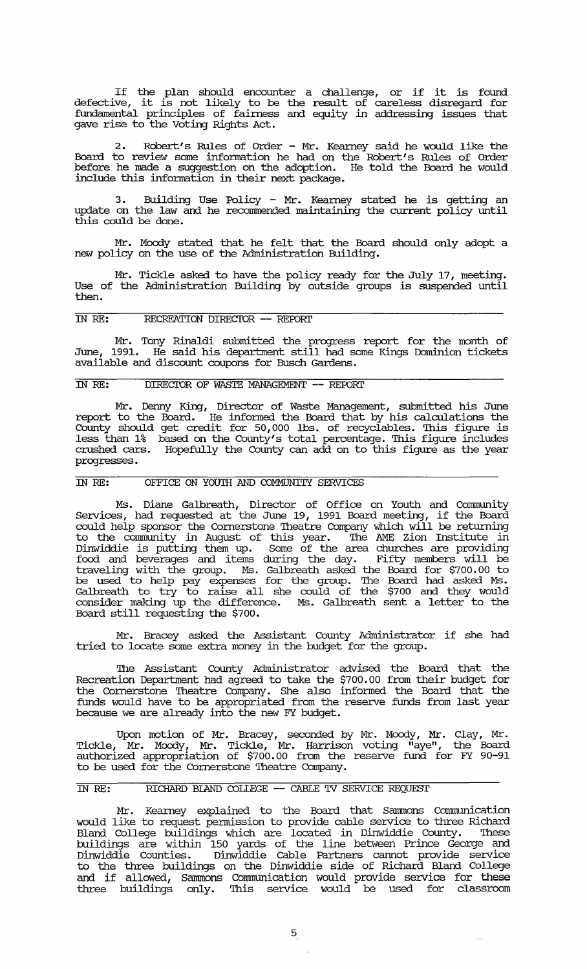If the plan should encounter a challenge, or if it is found defective, it is not likely to be the result of careless disregard for fundamental principles of fairness and equity in addressing issues that gave rise to the Voting Rights Act.

2. Robert's Rules of Order - Mr. Kearney said he would like the Board to review some information he had on the Robert's Rules of Order before he made a suggestion on the adoption. He told the Board he would include this infonnation in their next package.

3. Building Use Policy - Mr. Kearney stated he is getting an update on the law and he recommended maintaining the current policy until this could be done.

Mr. Moody stated that he felt that the Board should only adopt a new policy on the use of the Administration Building.

Mr. Tickle asked to have the policy ready for the July 17, meeting. Use of the Administration Building by outside groups is suspended until then.

# IN RE: RECREATION DIRECIOR **--** REFDRr

Mr. Tony Rinaldi submitted the progress report for the month of June, 1991. He said his department still had some Kings Dominion tickets available and discount coupons for Busch Gardens.

## IN RE: DIRECIOR OF WASTE MANAGEMENT **--** REFDRr

Mr. Denny King, Director of Waste Management, submitted his June report to the Board. He infonned the Board that by his calculations the County should get credit for 50,000 lbs. of recyclables. '!his figure is less than 1% based on the County's total percentage. '!his figure includes crushed cars. Hopefully the County can add on to this figure as the year progresses.

## IN RE: OFFICE ON YOUTH AND COMMUNITY SERVICE'S

Ms. Diane Galbreath, Director of Office on Youth and connnunity Sel:Vices, had requested at the June 19, 1991 Board meeting, if the Board could help sponsor the Cornerstone Theatre Company which will be returning to the community in August of this year. '!he AME Zion Institute in Dinwiddie is putting them up. Some of the area churches are providing food and beverages and items during the day. Fifty members will be traveling with the group. Ms. Galbreath asked the Board for \$700.00 to be used to help pay expenses for the group. '!he Board had asked Ms. Galbreath to try to raise all she could of the \$700 and they would consider making up the difference. Ms. Galbreath sent a letter to the Board still requesting the \$700.

Mr. Bracey asked the Assistant County Administrator if she had tried to locate some extra money in the budget for the group.

'!he Assistant County Administrator advised the Board that the Recreation Department had agreed to take the \$700.00 from their budget for the Cornerstone '!heatre Company. She also infonned the Board that the funds would have to be appropriated from the reserve funds from last year because we are already into the new FY budget.

Upon motion of Mr. Bracey, seconded by Mr. Moody, Mr. Clay, Mr. Tickle, Mr. Moody, Mr. Tickle, Mr. Harrison voting "aye", the Board authorized appropriation of \$700.00 from the reserve fund for FY 90-91 to be used for the Cornerstone Theatre Company.

#### IN RE: RICHARD BlAND COLIEGE **--** CABLE 'IV SERVICE REQUEST

Mr. Kearney explained to the Board that Sammons Communication would like to request pennission to provide cable service to three Richard Bland College buildings which are located in Dinwiddie County. These buildings are within 150 yards of the line between Prince George and Dinwiddie Counties. Dinwiddie Cable Partners cannot provide service to the three buildings on the Dinwiddie side of Richard Bland College and if allowed, Sammons Communication would provide service for these three buildings only. '!his service would be used for classroom

 $\frac{1}{2}$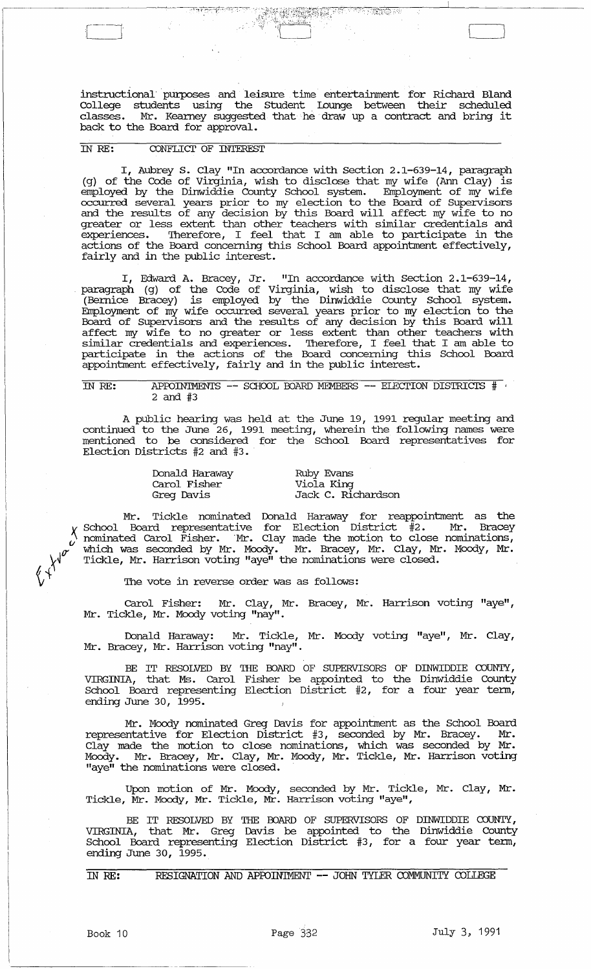instructional' purposes and leisure time entertainment for Richard Bland College students using the Student lounge between their scheduled classes. Mr. Kearney suggested that he draw up a contract and bring it back to the Board for approval.

 $\left( \frac{1}{2}, \frac{1}{2}, \frac{1}{2}, \ldots, \frac{1}{2} \right)$ 

· :1:~;:Yyi~:l;(';:~~~~;~7{P/ :~, .":,;,.,,t;;:,,~ ......

# IN RE: CONFLIcr OF INTEREST

I, Aubrey S. Clay "In accordance with section 2.1-639-14, paragraph (g) of the Code of Virginia, wish to disclose that my wife (Ann Clay) is employed by the Dinwiddie County school system. Employment of my wife occurred several years prior to my election to the Board of supervisors and the results of any decision by this Board will affect my wife to no greater or less extent than other teachers with similar credentials and experiences. Therefore, I feel that I am able to participate in the actions of the Board concerning this School Board appointment effectively, fairly and in the public interest.

I, Edward A. Bracey, Jr. "In accordance with section 2.1-639-14, paragraph (g) of the Code of Virginia, wish to disclose that my wife (Bernice Bracey) is employed by the Dinwiddie County School system. Employment of my wife occurred several years prior to my election to the Board of Supervisors and the results of any decision by this Board will affect my wife to no greater or less extent than other teachers with similar credentials and experiences. Therefore, I feel that I am able to participate in the actions of the Board concerning this School Board appointment effectively, fairly and in the public interest.

# IN RE: APPOINTMENTS -- SCHOOL BOARD MEMBERS -- ELECTION DISTRICTS  $#$ 2 and #3

A public hearing was held at the June 19, 1991 regular meeting and continued to the June 26, 1991 meeting, wherein the following names were mentioned to be considered for the School Board representatives for Election Districts #2 and #3.

> Donald Haraway carol Fisher Greg Davis

Ruby Evans Viola King Jack C. Richardson

Mr. Tickle nominated Donald Haraway for reappointment as the School Board representative for Election District  $\ddot{\texttt{\#2.}}$  Mr. Bracey nominated Carol Fisher. Mr. Clay made the motion to close nominations, which was seconded by Mr. Moody. Mr. Bracey, Mr. Clay, Mr. Moody, Mr • Tickle, Mr. Harrison voting "aye" the nominations were closed.

The vote in reverse order was as follows:

carol Fisher: Mr. Clay, Mr. Bracey, Mr. Harrison voting "aye", Mr. Tickle, Mr. Moody voting "nay".

Donald Haraway: Mr. Tickle, Mr. Moody voting "aye", Mr. Clay, Mr. Bracey, Mr. Harrison voting "nay".

BE IT RESOLVED BY THE BOARD OF SUPERVISORS OF DINWIDDIE COUNTY, VIRGINIA, that Ms. carol Fisher be appointed to the Dinwiddie County School Board representing Election District #2, for a four year term, ending June 30, 1995.

Mr. Moody nominated Greg Davis for appointment as the School Board representative for Election District #3, seconded by Mr. Bracey. Mr. Clay made the motion to close nominations, which was seconded by Mr. Moody. Mr. Bracey, Mr. Clay, Mr. Moody, Mr. Tickle, Mr. Harrison voting "aye" the nominations were closed.

Upon motion of Mr. Moody, seconded by Mr. Tickle, Mr. Clay, Mr. Tickle, Mr. Moody, Mr. Tickle, Mr. Harrison voting "aye",

BE IT RESOLVED BY THE BOARD OF SUPERVISORS OF DINWIDDIE COUNTY, VIRGINIA, that Mr. Greg Davis be appointed to the Dinwiddie County School Board representing Election District #3, for a four year term, ending June 30, 1995.

IN RE: RESIGNATION AND APPOINTMENT -- JOHN TYLER COMMUNITY COLLEGE

 $\left\langle \psi^{\psi^{\sigma^{\alpha^{\alpha^{\alpha}}}}} \right\rangle$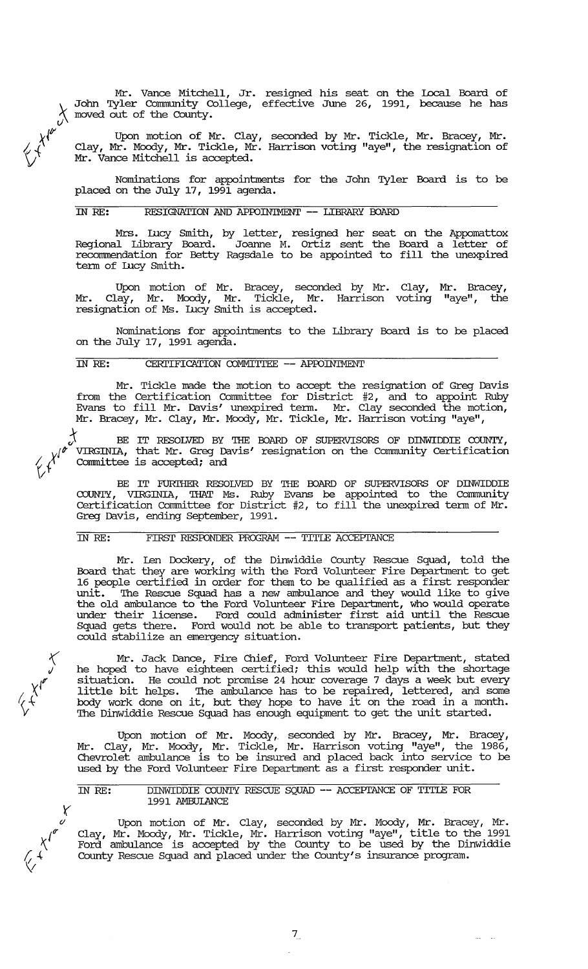$\chi$  moved out of the County. Mr. Vance Mitchell, Jr. resigned his seat on the Local Board of John Tyler Community College, effective June 26, 1991, because he has

Upon motion of Mr. Clay, seconded by Mr. Tickle, Mr. Bracey, Mr. Clay, Mr. Moody, Mr. Tickle, Mr. Harrison voting "aye", the resignation of Mr. Vance Mitchell is accepted.

Nominations for appointments for the John Tyler Board is to be placed on the July 17, 1991 agenda.

# IN RE: RESIGNATION AND AProIN'IMENT **--** LIBRARY BOARD

 $x^{\prime}$ 

 $\langle$ 

rJ

 $x^{\prime}$ 

 $\kappa$ 

y *(j* 

 $\vee$ 

 $\sum_{i=1}^n$ 

*!v{* V

Mrs. Illcy Smith, by letter, resigned her seat on the Appomattox Regional Library Board. Joanne M. ortiz sent the Board a letter of recommendation for Betty Ragsdale to be appointed to fill the unexpired term of Iucy Smith.

Upon motion of Mr. Bracey, seconded by Mr. Clay, Mr. Clay, Mr. Moody, Mr. Tickle, Mr. Harrison voting resignation of Ms. Illcy Smith is accepted. Mr. Bracey, "aye", the

Nominations for appointments to the Library Board is to be placed on the July 17, 1991 agenda.

## IN RE: CERI'IFICATION COMMI'ITEE **--** AProIN'IMENT

Mr. Tickle made the motion to accept the resignation of Greg Davis from the Certification Committee for District #2, and to appoint Ruby Evans to fill Mr. Davis' unexpired term. Mr. Clay seconded the motion, Mr. Bracey, Mr. Clay, Mr. Moody, Mr. Tickle, Mr. Harrison voting "aye",

j. BE IT *RESOLVED* BY 'mE BOARD OF SUPERVISORS OF DINWIDDIE COUNTY, *v*<sup>le</sup> VIRGINIA, that Mr. Greg Davis' resignation on the Community Certification  $f'$  committee is accepted; and

BE IT FURTHER RESOLVED BY THE BOARD OF SUPERVISORS OF DINWIDDIE COUNTY, VIRGINIA, THAT Ms. Ruby Evans be appointed to the Community Certification Committee for District #2, to fill the unexpired term of Mr. Greg Davis, ending September, 1991.

# IN RE: FIRST RESPONDER PROGRAM -- TITLE ACCEPTANCE

Mr. Len Dockery, of the Dinwiddie County Rescue Squad, told the Board that they are working with the Ford Volunteer Fire Department to get 16 people certified in order for them to be qualified as a first responder unit. '!he Rescue Squad has a new ambulance and they would like to give the old ambulance to the Ford Volunteer Fire Department, who would operate under their license. Ford could administer first aid until the Rescue Squad gets there. Ford would not be able to transport patients, but they could stabilize an emergency situation.

Mr. Jack Dance, Fire Chief, Ford Volunteer Fire Department, stated he hoped to have eighteen certified; this would help with the shortage situation. He could not promise 24 hour coverage 7 days a week but every little bit helps. The ambulance has to be repaired, lettered, and some body work done on it, but they hope to have it on the road in a month. The Dinwiddie Rescue Squad has enough equipment to get the unit started.

Upon motion of Mr. Moody, seconded by Mr. Bracey, Mr. Bracey, Mr. Clay, Mr. Moody, Mr. Tickle, Mr. Harrison voting "aye", the 1986, Chevrolet ambulance is to be insured and placed back into service to be used by the Ford Volunteer Fire Department as a first responder unit.

IN RE: DINWIDDIE COUNTY RESCUE SQUAD -- ACCEPTANCE OF TITLE FOR 1991 AMBUI.ANCE

Upon motion of Mr. Clay, seconded by Mr. Moody, Mr. Bracey, Mr. Clay, Mr. Moody, Mr. Tickle, Mr. Harrison voting "aye", title to the 1991 Ford ambulance is accepted by the County to be used by the Dinwiddie County Rescue Squad and placed under the County's insurance program.

7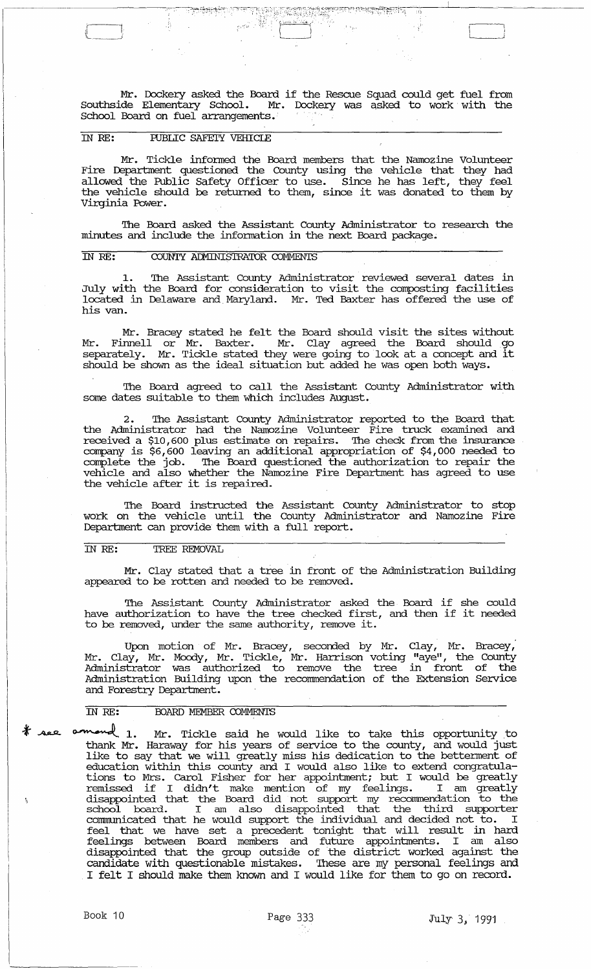Mr. Dockery asked the Board if the Rescue Squad could get fuel from Southside Elementary School. Mr. Dockery was asked to work with the School Board on fuel arrangements.·

### rn *RE:* IUBLIC SAFETY VEHICIE

 $\Box$ 

Mr. Tickle infonned the Board members that the Namozine Volunteer Fire Department questioned the County using the vehicle that they had allowed the Public Safety Officer to use. Since he has left, they feel<br>the vehicle should be returned to them, since it was donated to them by<br>... Virginia Power.

'Ihe Board asked the Assistant County Administrator to research the minutes and include the information in the next Board package.

#### IN RE: COUNTY ADMINISTRATOR COMMENTS

1. 'Ihe Assistant. County Administrator reviewed several dates in July with the Board for consideration to visit the composting facilities located in Delaware and Maryland. Mr. Ted Baxter has offered the use of his van.

Mr. Bracey stated he felt the Board should visit the sites without Mr. Finnell or Mr. Baxter. Mr. Clay agreed the Board should go separately. Mr. Tickle stated they were going to look at a concept and it should be shown as the ideal situation but added he was open both ways.

'Ihe Board agreed to call the Assistant County Administrator with some dates suitable to them which includes August. .

2. 'Ihe Assistant County Administrator reported to the Board that the Administrator had the Namozine Volunteer Fire truck examined and received a \$10,600 plus estimate on repairs. 'Ihe check from the insurance company is \$6,600 leaving an additional appropriation of \$4,000 needed to complete the job. The Board questioned the authorization to repair the vehicle and also whether the Namozine Fire Deparbnent has agreed to use the vehicle after it is repaired.

'Ihe Board instructed the Assistant County Administrator to stop work on the vehicle until the County Administrator and Namozine Fire Department can provide them with a full report.

## rn *RE:* TREE REMOVAL

Mr. Clay stated that a tree in front of the Administration Building appeared to be rotten and needed to be removed.

The Assistant County Administrator asked the Board if she could have authorization to have the tree checked first, and then if it needed to be removed, under the same authority, remove it.

Upon motion of Mr. Bracey, seconded by Mr. Clay, Mr. Bracey, Mr. Clay, Mr. Moody, Mr. Tickle, Mr. Harrison voting "aye", the County Administrator was authorized to remove the tree in front of the Administration Building upon the recommendation of the Extension Service and Forestry Department.

# **IN RE: BOARD MEMBER COMMENTS**

TO THE: BOARD MEMBER COMMENTS<br>
\* Asset commoned 1. Mr. Tickle said he would like to take this opportunity to thank Mr. Haraway for his years of service to the county, and would just like to say that we will greatly miss his dedication to the betterment of education within this county and I would also like to extend congratulations to Mrs. Carol Fisher for her appointment; but I would be greatly remissed if I didn't make mention of my feelings. I am greatly disappointed that the Board did not support my recommendation to the school board. I am also disappointed that the third supporter communicated that he would support the individual and decided not to. I feel that we have set a precedent tonight that will result in hard feelings between Board members and future appointments. I am also disappointed that the group outside of the district worked against the candidate with questionable mistakes. These are my personal feelings and I felt I should make them known and I would like for them to go on record.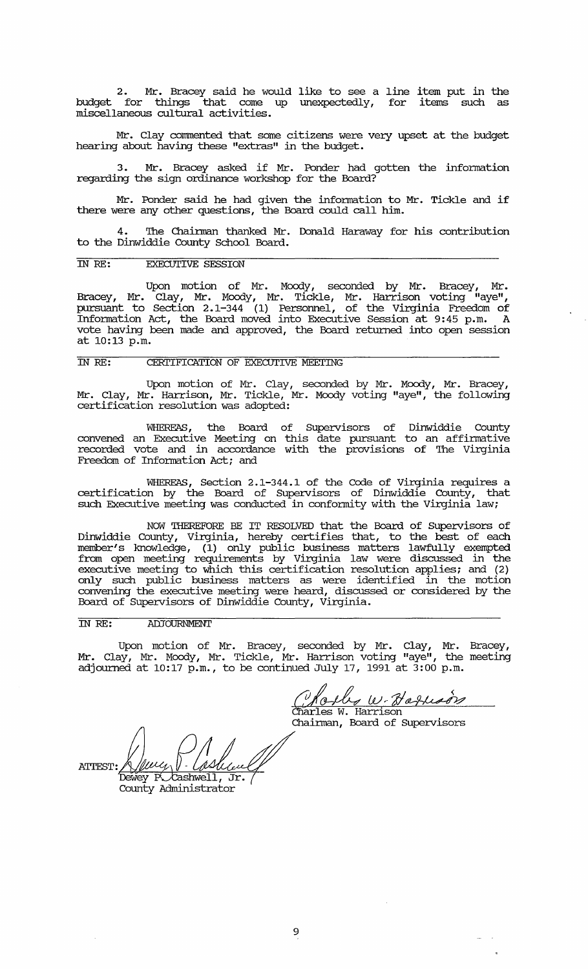2. Mr. Bracey said he would like to see a line item put in the budget for things that come up unexpectedly, for items such as miscellaneous cultural activities.

Mr. Clay commented that some citizens were very upset at the budget hearing about having these "extras" in the budget.

3. Mr. Bracey asked if Mr. Ponder had gotten the information regarding the sign ordinance workshop for the Board?

Mr. Ponder said he had given the information to Mr. Tickle and if there were any other questions, the Board could call him.

The Chairman thanked Mr. Donald Haraway for his contribution to the Dinwiddie County School Board.

#### IN *RE:* EXECUTIVE SESSION

Upon motion of Mr. Moody, seconded by Mr. Bracey, Mr. Bracey, Mr. Clay, Mr. Moody, Mr. Tickle, Mr. Harrison voting "aye", pursuant to section 2.1-344 (1) Personnel, of the Virginia Freedom of Information Act, the Board moved into Executive Session at 9:45 p.m. A vote having been made and approved, the Board returned into open session at 10:13 p.m.

## IN RE: CERTIFICATION OF EXECUTIVE MEETING

Upon motion of Mr. Clay, seconded by Mr. Moody, Mr. Bracey, Mr. Clay, Mr. Harrison, Mr. Tickle, Mr. Moody voting "aye", the following certification resolution was adopted:

WHEREAS, the Board of Supervisors of Dinwiddie County convened an Executive Meeting on this date pursuant to an affirmative recorded vote and in accordance with the provisions of The Virginia Freedom of Information Act; and

WHEREAS, section 2.1-344.1 of the Code of Virginia requires a certification by the Board of Supervisors of Dinwiddie County, that such Executive meeting was conducted in conformity with the Virginia law;

NOW *THEREFORE* BE IT RESOLVED that the Board of supervisors of Dinwiddie County, Virginia, hereby certifies that, to the best of each member's knowledge, (1) only public business matters lawfully exempted from open meeting requirements by Virginia law were discussed in the executive meeting to Which this certification resolution applies; and (2) only such public business matters as were identified in the motion convening the executive meeting were heard, discussed or considered by the Board of Supervisors of Dinwiddie County, Virginia.

## IN *RE:* ADJOURNMENT

Upon motion of Mr. Bracey, seconded by Mr. Clay, Mr. Bracey, Mr. Clay, Mr. Moody, Mr. Tickle, Mr. Harrison voting "aye", the meeting adjourned at  $10:17$  p.m., to be continued July 17, 1991 at  $3:00$  p.m.

Welly W. Haflesin<br>Charles W. Harrison<br>Chairman, Board of Supervisors

ATTEST: A WULLY V - WASHULLY County Administrator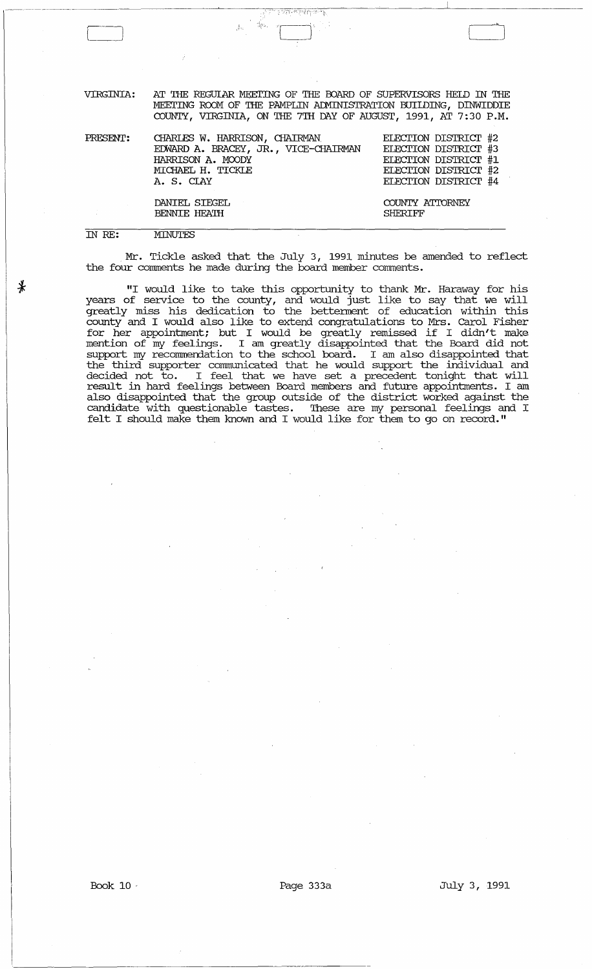VIRGINIA: AT THE REGULAR MEETING OF THE BOARD OF SUPERVISORS HELD IN THE :MEEI'ING ROOM OF THE PAMPLIN AIMINIS'I'RATION BUIIDING, DINWIDDIE COUNTY, VIRGINIA, ON THE 7TH DAY OF AUGUST, 1991, AT 7:30 P.M.

| PRESENT: | CHARLES W. HARRISON, CHAIRMAN<br>EDWARD A. BRACEY, JR., VICE-CHAIRMAN<br>HARRISON A. MOODY<br>MICHAEL H. TICKLE<br>A. S. CLAY | ELECTION DISTRICT #2<br>ELECTION DISTRICT #3<br>ELECTION DISTRICT #1<br>ELECTION DISTRICT #2<br>ELECTION DISTRICT #4 |
|----------|-------------------------------------------------------------------------------------------------------------------------------|----------------------------------------------------------------------------------------------------------------------|
|          | DANIEL SIEGEL<br>BENNIE HEATH                                                                                                 | COUNTY ATTORNEY<br><b>SHERIFF</b>                                                                                    |

#### IN RE:

¥

**MINUTES** 

Mr. Tickle asked that the July 3, 1991 minutes be amended to reflect the four comments he made during the board member comments.

"I would like to take this opportunity to thank Mr. Haraway for his years of service to the county, and would just like to say that we will greatly miss his dedication to the betterment of education within this county and I would also like to extend congratulations to Mrs. carol Fisher for her appointment; but I would be greatly remissed if I didn't make mention of my feelings. I am greatly disappointed that the Board did not support my recommendation to the school board. I am also disappointed that the third supporter communicated that he would support the individual and decided not to. I feel that we have set a precedent tonight that will result in hard feelings between Board members and future appointments. I am also disappointed that the group outside of the district worked against the candidate with questionable tastes. These are my personal feelings and I felt I should make them known and I would like for them to go on record."